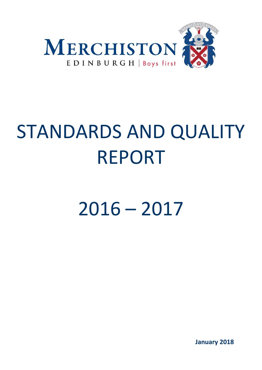

# STANDARDS AND QUALITY REPORT

2016 – 2017

**January 2018**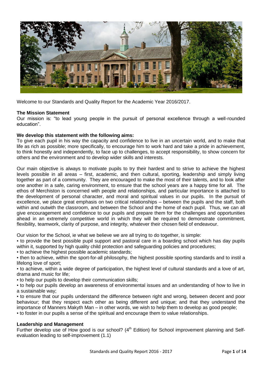

Welcome to our Standards and Quality Report for the Academic Year 2016/2017.

## **The Mission Statement**

Our mission is: "to lead young people in the pursuit of personal excellence through a well-rounded education".

#### **We develop this statement with the following aims:**

To give each pupil in his way the capacity and confidence to live in an uncertain world, and to make that life as rich as possible; more specifically, to encourage him to work hard and take a pride in achievement, to think honestly and independently, to face up to challenges, to accept responsibility, to show concern for others and the environment and to develop wider skills and interests.

Our main objective is always to motivate pupils to try their hardest and to strive to achieve the highest levels possible in all areas – first, academic, and then cultural, sporting, leadership and simply living together as part of a community. They are encouraged to make the most of their talents, and to look after one another in a safe, caring environment, to ensure that the school years are a happy time for all. The ethos of Merchiston is concerned with people and relationships, and particular importance is attached to the development of personal character, and moral and spiritual values in our pupils. In the pursuit of excellence, we place great emphasis on two critical relationships – between the pupils and the staff, both within and outwith the classroom, and between the School and the home of each pupil. Thus, we can all give encouragement and confidence to our pupils and prepare them for the challenges and opportunities ahead in an extremely competitive world in which they will be required to demonstrate commitment, flexibility, teamwork, clarity of purpose, and integrity, whatever their chosen field of endeavour.

Our vision for the School, ie what we believe we are all trying to do together, is simple:

▪ to provide the best possible pupil support and pastoral care in a boarding school which has day pupils within it, supported by high quality child protection and safeguarding policies and procedures;

▪ to achieve the highest possible academic standards;

▪ then to achieve, within the sport-for-all philosophy, the highest possible sporting standards and to instil a lifelong love of sport;

▪ to achieve, within a wide degree of participation, the highest level of cultural standards and a love of art, drama and music for life;

▪ to help our pupils to develop their communication skills;

▪ to help our pupils develop an awareness of environmental issues and an understanding of how to live in a sustainable way;

▪ to ensure that our pupils understand the difference between right and wrong, between decent and poor behaviour; that they respect each other as being different and unique; and that they understand the importance of Manners Makyth Man – in other words, we wish to help them to develop as good people;

▪ to foster in our pupils a sense of the spiritual and encourage them to value relationships.

#### **Leadership and Management**

Further develop use of How good is our school?  $(4<sup>th</sup>$  Edition) for School improvement planning and Selfevaluation leading to self-improvement (1.1)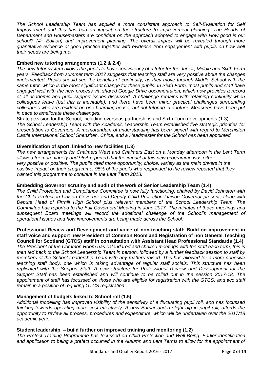*The School Leadership Team has applied a more consistent approach to Self-Evaluation for Self Improvement and this has had an impact on the structure to improvement planning. The Heads of Department and Housemasters are confident on the approach adopted to engage with How good is our school? (4th Edition) and improvement planning. The overall impact will be revealed through more quantitative evidence of good practice together with evidence from engagement with pupils on how well their needs are being met.*

### **Embed new tutoring arrangements (1.2 & 2.4)**

*The new tutor system allows the pupils to have consistency of a tutor for the Junior, Middle and Sixth Form years. Feedback from summer term 2017 suggests that teaching staff are very positive about the changes implemented. Pupils should see the benefits of continuity, as they move through Middle School with the same tutor, which is the most significant change for these pupils. In Sixth Form, most pupils and staff have engaged well with the new process via shared Google Drive documentation, which now provides a record of all academic and pupil support issues discussed. A challenge remains with retaining continuity when colleagues leave (but this is inevitable), and there have been minor practical challenges surrounding colleagues who are resident on one boarding house, but not tutoring in another. Measures have been put in pace to ameliorate these challenges.*

Strategic vision for the School, including overseas partnerships and Sixth Form developments (1.3) *The School Leadership Team with the Academic Leadership Team established five strategic priorities for presentation to Governors. A memorandum of understanding has been signed with regard to Merchiston Castle International School Shenzhen, China, and a Headmaster for the School has been appointed.*

#### **Diversification of sport, linked to new facilities (1.3)**

*The new arrangements for Chalmers West and Chalmers East on a Monday afternoon in the Lent Term allowed for more variety and 96% reported that the impact of this new programme was either very positive or positive. The pupils cited more opportunity, choice, variety as the main drivers in the positive impact on their programme. 95% of the pupils who responded to the review reported that they wanted this programme to continue in the Lent Term 2018.*

#### **Embedding Governor scrutiny and audit of the work of Senior Leadership Team (1.4)**

*The Child Protection and Compliance Committee is now fully functioning, chaired by David Johnston with the Child Protection Liaison Governor and Deputy Child Protection Liaison Governor present, along with Depute Head of Firrhill High School plus relevant members of the School Leadership Team. The Committee has reported to the Full Governors' Meeting in June 2017. The minutes of these meetings and subsequent Board meetings will record the additional challenge of the School's management of operational issues and how improvements are being made across the School.*

#### **Professional Review and Development and voice of non-teaching staff: Build on improvement in staff voice and support new President of Common Room and Registration of non General Teaching Council for Scotland (GTCS) staff in consultation with Assistant Head Professional Standards (1.4)**

*The President of the Common Room has calendared and chaired meetings with the staff each term, this is then fed back to the School Leadership Team in person, followed by a further feedback session to staff by members of the School Leadership Team with any matters raised. This has allowed for a more cohesive teaching staff body, one which is taking advantage of regular staff socials. This structure has been replicated with the Support Staff. A new structure for Professional Review and Development for the Support Staff has been established and will continue to be rolled out in the session 2017-18. The appointment of staff has focussed on those who are eligible for registration with the GTCS, and two staff remain in a position of requiring GTCS registration.*

#### **Management of budgets linked to School roll (1.5)**

*Additional modelling has improved visibility of the sensitivity of a fluctuating pupil roll, and has focussed thinking towards operating more cost effectively. A new Bursar and a slight dip in pupil roll, affords the opportunity to review all process, procedures and expenditure, which will be undertaken over the 2017/18 academic year.*

#### **Student leadership – build further on improved training and monitoring (1.2)**

*The Prefect Training Programme has focussed on Child Protection and Well-Being. Earlier identification*  and application to being a prefect occurred in the Autumn and Lent Terms to allow for the appointment of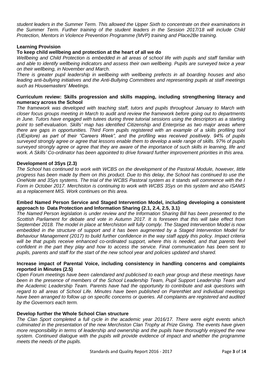*student leaders in the Summer Term. This allowed the Upper Sixth to concentrate on their examinations in the Summer Term. Further training of the student leaders in the Session 2017/18 will include Child Protection, Mentors in Violence Prevention Programme (MVP) training and Place2Be training.*

## **Learning Provision**

# **To keep child wellbeing and protection at the heart of all we do**

*Wellbeing and Child Protection is embedded in all areas of school life with pupils and staff familiar with and able to identify wellbeing indicators and assess their own wellbeing. Pupils are surveyed twice a year on their wellbeing, in November and March.*

*There is greater pupil leadership in wellbeing with wellbeing prefects in all boarding houses and also leading anti-bullying initiatives and the Anti-Bullying Committees and representing pupils at staff meetings such as Housemasters' Meetings.* 

# **Curriculum review: Skills progression and skills mapping, including strengthening literacy and numeracy across the School**

*The framework was developed with teaching staff, tutors and pupils throughout January to March with closer focus groups meeting in March to audit and review the framework before going out to departments in June. Tutors have engaged with tutees during three tutorial sessions using the descriptors as a starting point to self-evaluation. Skills' map has identified Citizenship and Enterprise as two major areas where there are gaps in opportunities. Third Form pupils registered with an example of a skills profiling tool (UExplore) as part of their "Careers Week", and the profiling was received positively. 94% of pupils surveyed strongly agree or agree that lessons enable them to develop a wide range of skills. 97% of pupils surveyed strongly agree or agree that they are aware of the importance of such skills in learning, life and work. A Skills' Co-ordinator has been appointed to drive forward further improvement priorities in this area.*

#### **Development of 3Sys (2.3)**

*The School has continued to work with WCBS on the development of the Pastoral Module, however, little progress has been made by them on this product. Due to this delay, the School has continued to use the OneNote and 3Sys systems. The trial of the WCBS Pastoral system as it stands will commence with the I Form in October 2017. Merchiston is continuing to work with WCBS 3Sys on this system and also ISAMS as a replacement MIS. Work continues on this area.*

#### **Embed Named Person Service and Staged Intervention Model, including developing a consistent approach to Data Protection and Information Sharing (2.1, 2.4, 2.5, 3.1)**

*The Named Person legislation is under review and the Information Sharing Bill has been presented to the Scottish Parliament for debate and vote in Autumn 2017. It is foreseen that this will take effect from September 2018. The model in place at Merchiston will fully comply. The Staged Intervention Model is now embedded in the structure of support and it has been augmented by a Staged Intervention Model for Behaviour Management (2017) to build further confidence in the way staff apply this policy. Impact criteria will be that pupils receive enhanced co-ordinated support, where this is needed, and that parents feel confident in the part they play and how to access the service. Final communication has been sent to pupils, parents and staff for the start of the new school year and policies updated and shared.* 

#### **Increase impact of Parental Voice, including consistency in handling concerns and complaints reported in Minutes (2.5)**

*Open Forum meetings have been calendared and publicised to each year group and these meetings have been in the presence of members of the School Leadership Team, Pupil Support Leadership Team and the Academic Leadership Team. Parents have had the opportunity to contribute and ask questions with regard to all areas of School Life. Minutes have been published on ParentNet and individual meetings have been arranged to follow up on specific concerns or queries. All complaints are registered and audited by the Governors each term.*

#### **Develop further the Whole School Clan structure**

*The Clan Sport completed a full cycle in the academic year 2016/17. There were eight events which culminated in the presentation of the new Merchiston Clan Trophy at Prize Giving. The events have given more responsibility in terms of leadership and ownership and the pupils have thoroughly enjoyed the new system. Continued dialogue with the pupils will provide evidence of impact and whether the programme meets the needs of the pupils.*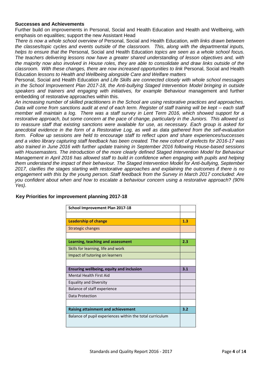#### **Successes and Achievements**

Further build on improvements in Personal, Social and Health Education and Health and Wellbeing, with emphasis on equalities; support the new Assistant Head

*There is now a whole school overview of* Personal, Social and Health Education*, with links drawn between the classes/topic cycles and events outside of the classroom. This, along with the departmental inputs, helps to ensure that the* Personal, Social and Health Education *topics are seen as a whole school focus. The teachers delivering lessons now have a greater shared understanding of lesson objectives and, with the majority now also involved in House roles, they are able to consolidate and draw links outside of the classroom. With these changes, there are now increased opportunities to link* Personal, Social and Health Education *lessons to Health and Wellbeing alongside Care and Welfare matters*

Personal, Social and Health Education *and Life Skills are connected closely with whole school messages in the School Improvement Plan 2017-18, the Anti-bullying Staged Intervention Model bringing in outside speakers and trainers and engaging with initiatives, for example* Behaviour management and further embedding of restorative approaches within this.

*An increasing number of skilled practitioners in the School are using restorative practices and approaches. Data will come from sanctions audit at end of each term. Register of staff training will be kept – each staff member will maintain a log. There was a staff survey in Lent Term 2016, which showed support for a restorative approach, but some concern at the pace of change, particularly in the Juniors. This allowed us to reassure staff that existing sanctions were available for use, as necessary. Each group is asked for anecdotal evidence in the form of a Restorative Log, as well as data gathered from the self-evaluation form. Follow up sessions are held to encourage staff to reflect upon and share experiences/successes and a video library capturing staff feedback has been created. The new cohort of prefects for 2016-17 was also trained in June 2016 with further update training in September 2016 following House-based sessions with Housemasters. The introduction of the more clearly defined Staged Intervention Model for Behaviour Management in April 2016 has allowed staff to build in confidence when engaging with pupils and helping them understand the impact of their behaviour. The Staged Intervention Model for Anti-bullying, September 2017, clarifies the stages starting with restorative approaches and explaining the outcomes if there is no engagement with this by the young person. Staff feedback from the Survey in March 2017 concluded: Are you confident about when and how to escalate a behaviour concern using a restorative approach? (90% Yes).*

| School Improvement Plan 2017-18                          |     |
|----------------------------------------------------------|-----|
|                                                          |     |
| <b>Leadership of change</b>                              | 1.3 |
| Strategic changes                                        |     |
|                                                          |     |
| Learning, teaching and assessment                        | 2.3 |
| Skills for learning, life and work                       |     |
| Impact of tutoring on learners                           |     |
|                                                          |     |
| Ensuring wellbeing, equity and inclusion                 | 3.1 |
| Mental Health First Aid                                  |     |
| <b>Equality and Diversity</b>                            |     |
| Balance of staff experience                              |     |
| Data Protection                                          |     |
|                                                          |     |
| <b>Raising attainment and achievement</b>                | 3.2 |
| Balance of pupil experiences within the total curriculum |     |

#### **Key Priorities for improvement planning 2017-18**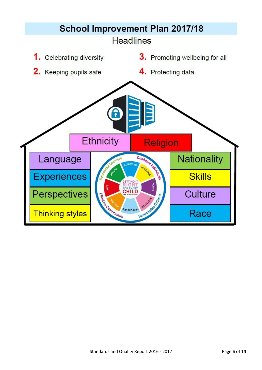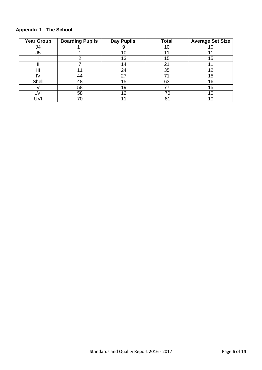| <b>Year Group</b> | <b>Boarding Pupils</b> | <b>Day Pupils</b> | <b>Total</b> | <b>Average Set Size</b> |
|-------------------|------------------------|-------------------|--------------|-------------------------|
| J4                |                        |                   | 10           |                         |
| J <sub>5</sub>    |                        | 10                |              |                         |
|                   | ◠                      | 13                | 15           | 15                      |
|                   |                        | 14                | 21           |                         |
| Ш                 |                        | 24                | 35           | 12                      |
|                   | 44                     | 27                | 71           | 15                      |
| Shell             | 48                     | 15                | 63           | 16                      |
|                   | 58                     | 19                |              | 15                      |
| -VI               | 58                     | 12                | 70           |                         |
| JV                | 70                     |                   | 81           |                         |

# **Appendix 1 - The School**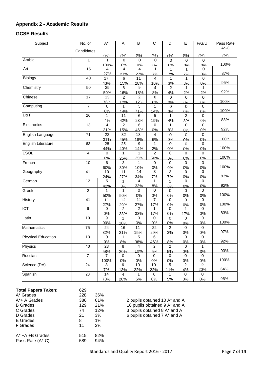# **Appendix 2 - Academic Results**

# **GCSE Results**

| Subject            | No. of                  | $\overline{A^*}$ | A                     | B              | $\overline{C}$ | D              | E                    | F/G/U             | Pass Rate |
|--------------------|-------------------------|------------------|-----------------------|----------------|----------------|----------------|----------------------|-------------------|-----------|
|                    | Candidates              |                  |                       |                |                |                |                      |                   | $A^*$ -C  |
|                    |                         | (%)              | (%)                   | (%)            | (%)            | (%)            | (%)                  | (%)               | (% )      |
| Arabic             | 1                       | 1                | $\mathbf 0$           | $\mathbf 0$    | $\pmb{0}$      | $\mathbf 0$    | $\pmb{0}$            | $\mathsf 0$       |           |
| Art                | 15                      | 100%             | 0%                    | 0%             | 0%             | 0%             | 00/                  | 0%                | 100%      |
|                    |                         | 4<br>27%         | 4<br>27%              | 4<br>27%       | 1<br>7%        | 1<br>7%        | 1<br>7%              | 0<br>0%           | 87%       |
| Biology            | 40                      | 17               | 6                     | 11             | 4              | $\mathbf{1}$   | 1                    | $\mathbf 0$       |           |
|                    |                         | 43%              | 15%                   | 28%            | 10%            | 3%             | 3%                   | 0%                | 95%       |
| Chemistry          | 50                      | 25               | 8                     | 9              | 4              | $\overline{2}$ | 1                    | 1                 |           |
|                    |                         | 50%              | 16%                   | 18%            | 8%             | 4%             | 2%                   | 2%                | 92%       |
| Chinese            | 17                      | 13               | $\overline{c}$        | 2              | 0              | $\mathbf 0$    | 0                    | 0                 |           |
|                    |                         | 76%              | 12%                   | 12%            | 0%             | 0%             | 0%                   | 0%                | 100%      |
| Computing          | $\overline{7}$          | 0                | 1                     | 5<br>71%       | 1              | 0              | $\mathbf 0$          | 0                 | 100%      |
| D&T                | 26                      | 0%<br>1          | 14%<br>11             | 6              | 14%<br>5       | 0%<br>1        | 0%<br>$\overline{2}$ | 0%<br>$\mathbf 0$ |           |
|                    |                         | 4%               | 42%                   | 23%            | 19%            | 4%             | 8%                   | 0%                | 88%       |
| Electronics        | 13                      | 4                | $\overline{2}$        | 6              | 0              | 1              | 0                    | $\mathbf 0$       |           |
|                    |                         | 31%              | 15%                   | 46%            | 0%             | 8%             | 0%                   | 0%                | 92%       |
| English Language   | 71                      | 22               | 32                    | 13             | 4              | $\mathbf 0$    | 0                    | $\pmb{0}$         |           |
|                    |                         | 31%              | 45%                   | 18%            | 6%             | 0%             | 0%                   | 0%                | 100%      |
| English Literature | 63                      | 28               | 25                    | 9              | 1              | $\mathbf 0$    | $\mathbf 0$          | $\mathbf 0$       |           |
|                    |                         | 44%              | 40%                   | 14%            | 2%             | 0%             | 0%                   | 0%                | 100%      |
| <b>ESOL</b>        | $\overline{\mathbf{4}}$ | $\mathbf 0$      | 1                     | 1              | 2              | 0              | 0                    | 0                 |           |
|                    |                         | 0%               | 25%                   | 25%            | 50%            | 0%             | 0%                   | 0%                | 100%      |
| French             | 10                      | $\,6\,$          | $\sqrt{3}$<br>30%     | 1<br>10%       | 0              | $\pmb{0}$      | $\mathbf 0$          | $\mathbf 0$       | 100%      |
| Geography          | 41                      | 60%<br>10        | 11                    | 14             | 0%<br>3        | 0%<br>3        | 0%<br>0              | 0%<br>0           |           |
|                    |                         | 24%              | 27%                   | 34%            | 7%             | 7%             | 0%                   | 0%                | 93%       |
| German             | 12                      | 5                | 1                     | 4              | 1              | 1              | $\mathbf 0$          | $\mathbf 0$       |           |
|                    |                         | 42%              | 8%                    | 33%            | 8%             | 8%             | 0%                   | 0%                | 92%       |
| Greek              | $\overline{c}$          | 1                | 1                     | 0              | 0              | 0              | 0                    | 0                 |           |
|                    |                         | 50%              | 50%                   | 0%             | 0%             | 0%             | 0%                   | 0%                | 100%      |
| History            | 41                      | 11               | 12                    | 11             | $\overline{7}$ | $\mathbf 0$    | $\mathbf 0$          | 0                 |           |
| <b>ICT</b>         | $\,6\,$                 | 27%              | 29%                   | 27%            | 17%            | 0%             | 0%                   | 0%                | 100%      |
|                    |                         | 0                | $\overline{c}$<br>33% | 2<br>33%       | 1<br>17%       | 0<br>0%        | 1<br>17%             | 0<br>0%           | 83%       |
| Latin              | 10                      | 0%<br>9          | $\mathbf{1}$          | $\mathbf 0$    | $\mathbf 0$    | $\mathbf 0$    | $\mathbf 0$          | $\mathbf 0$       |           |
|                    |                         | 90%              | 10%                   | 0%             | 0%             | 0%             | 0%                   | 0%                | 100%      |
| <b>Mathematics</b> | 75                      | 24               | 16                    | 11             | 22             | $\overline{2}$ | 0                    | 0                 |           |
|                    |                         | 32%              | 21%                   | 15%            | 29%            | 3%             | 0%                   | 0%                | 97%       |
| Physical Education | 13                      | $\pmb{0}$        | $\mathbf{1}$          | 5              | $\,6\,$        | $\mathbf{1}$   | 0                    | $\mathbf 0$       |           |
|                    |                         | 0%               | 8%                    | 38%            | 46%            | 8%             | 0%                   | 0%                | 92%       |
| Physics            | 40                      | 23               | 8                     | $\overline{4}$ | $\overline{2}$ | $\overline{2}$ | $\mathsf{O}\xspace$  | $\mathbf{1}$      |           |
|                    |                         | 58%              | 20%                   | 10%            | 5%             | 5%             | 0%                   | 3%                | 93%       |
| Russian            | $\overline{7}$          | $\mathbf{7}$     | 0                     | 0              | 0              | 0              | 0                    | $\mathbf 0$<br>0% | 100%      |
| Science (DA)       | 24                      | 100%<br>3        | 0%<br>6               | 0%<br>10       | 0%<br>10       | 0%<br>5        | 0%<br>$\overline{2}$ | 9                 |           |
|                    |                         | 7%               | 13%                   | 22%            | 22%            | 11%            | 4%                   | 20%               | 64%       |
| Spanish            | 20                      | 14               | 4                     | 1              | 0              | 1              | 0                    | 0                 |           |
|                    |                         | 70%              | 20%                   | 5%             | 0%             | $5\%$          | $0\%$                | $0\%$             | 95%       |

| <b>Total Papers Taken:</b> | 629 |     |             |
|----------------------------|-----|-----|-------------|
| A* Grades                  | 228 | 36% |             |
| $A^*$ + A Grades           | 386 | 61% | 2 pupils of |
| <b>B</b> Grades            | 129 | 21% | 16 pupils o |
| C Grades                   | 74  | 12% | 3 pupils of |
| D Grades                   | 21  | 3%  | 6 pupils of |
| E Grades                   | 8   | 1%  |             |
| F Grades                   | 11  | 2%  |             |
| $A^*$ +A +B Grades         | 515 | 82% |             |
| Pass Rate (A*-C)           | 589 | 94% |             |
|                            |     |     |             |

btained 10  $A^*$  and  $A$ obtained 9 A<sup>\*</sup> and A btained 8  $A^*$  and  $A$ btained 7  $A^*$  and  $A$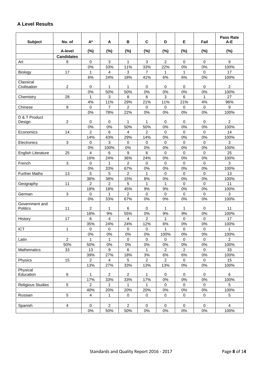# **A Level Results**

| <b>Subject</b>                    | No. of                    | $A^*$                   | A              | В              | $\mathbf c$    | D              | Е                   | Fail                | <b>Pass Rate</b><br>A-E |
|-----------------------------------|---------------------------|-------------------------|----------------|----------------|----------------|----------------|---------------------|---------------------|-------------------------|
|                                   |                           |                         |                |                |                |                |                     |                     |                         |
|                                   | A-level                   | (%)                     | (%)            | $(\%)$         | (%)            | $(\%)$         | $(\%)$              | $(\%)$              | $(\%)$                  |
| Art                               | <b>Candidates</b><br>9    | $\mathbf 0$             | 3              | $\mathbf{1}$   | 3              | $\overline{2}$ | $\mathbf 0$         | $\Omega$            | 9                       |
|                                   |                           | 0%                      | 33%            | 11%            | 33%            | 22%            | 0%                  | 0%                  | 100%                    |
| Biology                           | 17                        | $\mathbf{1}$            | 4              | 3              | $\overline{7}$ | 1              | 1                   | $\Omega$            | 17                      |
|                                   |                           | 6%                      | 24%            | 18%            | 41%            | 6%             | 6%                  | 0%                  | 100%                    |
| Classical                         |                           |                         |                |                |                |                |                     |                     |                         |
| Civilisation                      | $\overline{c}$            | 0                       | 1              | 1              | 0              | 0              | 0                   | 0                   | 2                       |
|                                   |                           | 0%                      | 50%            | 50%            | 0%             | $0\%$          | 0%                  | 0%                  | 100%                    |
| Chemistry                         | 28                        | 1                       | 3              | 8              | 6              | 3              | 6                   | 1                   | 27                      |
|                                   |                           | 4%                      | 11%            | 29%            | 21%            | 11%            | 21%                 | 4%                  | 96%                     |
| Chinese                           | $\boldsymbol{9}$          | $\pmb{0}$               | $\overline{7}$ | $\overline{a}$ | $\mathbf 0$    | 0              | $\mathsf{O}\xspace$ | $\mathsf{O}\xspace$ | 9                       |
|                                   |                           | 0%                      | 78%            | 22%            | 0%             | $0\%$          | 0%                  | 0%                  | 100%                    |
| D & T Product<br>Design           | $\overline{c}$            | 0                       | 0              | 1              | 1              | 0              | 0                   | 0                   | $\overline{c}$          |
|                                   |                           | 0%                      | 0%             | 50%            | 50%            | 0%             | 0%                  | 0%                  | 100%                    |
| Economics                         | 14                        | $\overline{2}$          | 6              | 4              | $\overline{2}$ | $\mathbf 0$    | $\mathbf 0$         | $\mathbf 0$         | 14                      |
|                                   |                           | 14%                     | 43%            | 29%            | 14%            | 0%             | 0%                  | 0%                  | 100%                    |
| Electronics                       | $\mathbf{3}$              | 0                       | 3              | 0              | 0              | 0              | 0                   | 0                   | 3                       |
|                                   |                           | 0%                      | 100%           | 0%             | 0%             | 0%             | 0%                  | 0%                  | 100%                    |
| English Literature                | 25                        | $\overline{4}$          | 6              | 9              | 6              | 0              | 0                   | $\mathbf 0$         | 25                      |
|                                   |                           | 16%                     | 24%            | 36%            | 24%            | $0\%$          | 0%                  | 0%                  | 100%                    |
| French                            | $\ensuremath{\mathsf{3}}$ | 0                       | 1              | $\overline{2}$ | 0              | 0              | 0                   | $\mathbf 0$         | 3                       |
|                                   |                           | 0%                      | 33%            | 67%            | 0%             | $0\%$          | 0%                  | 0%                  | 100%                    |
| <b>Further Maths</b>              | 13                        | 5                       | 5              | $\overline{2}$ | 1              | 0              | 0                   | $\mathbf 0$         | 13                      |
|                                   |                           | 38%                     | 38%            | 15%            | 8%             | 0%             | 0%                  | 0%                  | 100%                    |
| Geography                         | 11                        | $\overline{c}$          | $\overline{c}$ | 5              | 1              | 1              | 0                   | $\mathbf 0$         | 11                      |
|                                   |                           | 18%                     | 18%            | 45%            | 9%             | 9%             | 0%                  | 0%                  | 100%                    |
| German                            | $\mathbf{3}$              | 0                       | 1              | $\overline{2}$ | 0              | $\mathbf 0$    | $\mathbf 0$         | 0                   | 3                       |
|                                   |                           | 0%                      | 33%            | 67%            | 0%             | 0%             | 0%                  | 0%                  | 100%                    |
| Government and<br><b>Politics</b> | 11                        | 2                       | 1              | 6              | 0              | 1              | 1                   | 0                   | 11                      |
|                                   |                           | 18%                     | 9%             | 55%            | $0\%$          | 9%             | 9%                  | 0%                  | 100%                    |
| History                           | 17                        | $\,6\,$                 | $\overline{4}$ | 4              | 2              | 1              | $\mathbf 0$         | $\mathbf 0$         | 17                      |
|                                   |                           | 35%                     | 24%            | 24%            | 12%            | 6%             | $0\%$               | 0%                  | 100%                    |
| ICT                               | 1                         | 0                       | 0              | $\pmb{0}$      | $\pmb{0}$      | 1              | $\pmb{0}$           | $\pmb{0}$           | 1                       |
|                                   |                           | $0\%$                   | $0\%$          | $0\%$          | $0\%$          | 100%           | 0%                  | 0%                  | 100%                    |
| Latin                             | $\overline{c}$            | 1                       | 1              | 0              | 0              | 0              | 0                   | 0                   | 2                       |
|                                   | 50%                       | 50%                     | $0\%$          | $0\%$          | $0\%$          | $0\%$          | $0\%$               | $0\%$               | 100%                    |
| Mathematics                       | 33                        | 13                      | 9              | 6              | 1              | $\overline{a}$ | $\overline{c}$      | $\mathbf 0$         | 33                      |
|                                   |                           | 39%                     | 27%            | 18%            | $3%$           | $6\%$          | $6\%$               | $0\%$               | 100%                    |
| Physics                           | 15                        | $\overline{2}$          | 4              | 5              | $\overline{2}$ | $\overline{2}$ | $\mathbf 0$         | $\mathbf 0$         | 15                      |
|                                   |                           | 13%                     | 27%            | 33%            | 13%            | 13%            | $0\%$               | $0\%$               | 100%                    |
| Physical                          |                           |                         |                |                |                |                |                     |                     |                         |
| Education                         | 6                         | 1                       | $\overline{c}$ | $\overline{a}$ | $\mathbf{1}$   | 0              | 0                   | $\mathbf 0$         | 6                       |
|                                   |                           | 17%                     | 33%            | 33%            | 17%            | $0\%$          | 0%                  | 0%                  | 100%                    |
| <b>Religious Studies</b>          | 5                         | $\overline{2}$          | 1              | 1              | 1              | $\mathbf 0$    | $\mathbf 0$         | $\mathbf 0$         | 5                       |
|                                   | 5                         | 40%                     | 20%            | 20%            | 20%            | $0\%$          | 0%                  | 0%                  | 100%                    |
| Russian                           |                           | $\overline{\mathbf{4}}$ | 1              | $\mathbf 0$    | $\mathbf 0$    | $\mathbf 0$    | 0                   | $\mathbf 0$         | 5                       |
| Spanish                           | 4                         | 0                       | $\overline{2}$ | $\overline{2}$ | 0              | 0              | 0                   | 0                   | $\overline{4}$          |
|                                   |                           | $0\%$                   | 50%            | 50%            | $0\%$          | $0\%$          | $0\%$               | 0%                  | 100%                    |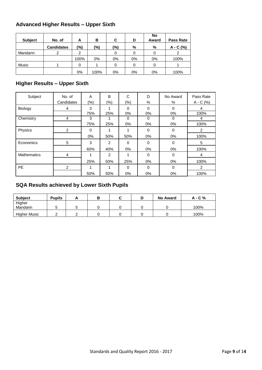# **Advanced Higher Results – Upper Sixth**

| <b>Subject</b> | No. of            | A    | в     | C      | D     | No<br>Award | <b>Pass Rate</b> |
|----------------|-------------------|------|-------|--------|-------|-------------|------------------|
|                | <b>Candidates</b> | (%)  | (%)   | $(\%)$ | %     | %           | $A - C$ (%)      |
| Mandarin       | 2                 | 2    |       |        |       |             |                  |
|                |                   | 100% | $0\%$ | $0\%$  | $0\%$ | 0%          | 100%             |
| <b>Music</b>   |                   | 0    |       |        |       |             |                  |
|                |                   | 0%   | 100%  | $0\%$  | 0%    | 0%          | 100%             |

# **Higher Results – Upper Sixth**

| Subject            | No. of     | A      | B      | C        | D        | No Award | Pass Rate   |
|--------------------|------------|--------|--------|----------|----------|----------|-------------|
|                    | Candidates | $(\%)$ | $(\%)$ | $(\%)$   | $\%$     | %        | $A - C$ (%) |
| Biology            | 4          | 3      |        | $\Omega$ | $\Omega$ | 0        | 4           |
|                    |            | 75%    | 25%    | $0\%$    | $0\%$    | 0%       | 100%        |
| Chemistry          | 4          | 3      |        | 0        | 0        | 0        | 4           |
|                    |            | 75%    | 25%    | 0%       | $0\%$    | $0\%$    | 100%        |
| Physics            | 2          | 0      |        |          | 0        | $\Omega$ | 2           |
|                    |            | $0\%$  | 50%    | 50%      | $0\%$    | 0%       | 100%        |
| Economics          | 5          | 3      | 2      | $\Omega$ | $\Omega$ | $\Omega$ | 5           |
|                    |            | 60%    | 40%    | 0%       | $0\%$    | $0\%$    | 100%        |
| <b>Mathematics</b> | 4          | 1      | 2      | 1        | $\Omega$ | 0        | 4           |
|                    |            | 25%    | 50%    | 25%      | 0%       | $0\%$    | 100%        |
| <b>PE</b>          | 2          | 1      |        | 0        | $\Omega$ | $\Omega$ | 2           |
|                    |            | 50%    | 50%    | $0\%$    | $0\%$    | 0%       | 100%        |

# **SQA Results achieved by Lower Sixth Pupils**

| <b>Subject</b>      | <b>Pupils</b> |  |  | <b>No Award</b> | A - C % |
|---------------------|---------------|--|--|-----------------|---------|
| Higher              |               |  |  |                 |         |
| Mandarin            |               |  |  |                 | 100%    |
| <b>Higher Music</b> |               |  |  |                 | 100%    |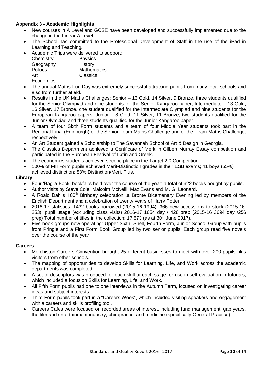# **Appendix 3 - Academic Highlights**

- New courses in A Level and GCSE have been developed and successfully implemented due to the change in the Linear A Level.
- The School has committed to the Professional Development of Staff in the use of the iPad in Learning and Teaching.
- Academic Trips were delivered to support:

| Chemistry       | <b>Physics</b>     |
|-----------------|--------------------|
| Geography       | History            |
| <b>Politics</b> | <b>Mathematics</b> |
| Art             | Classics           |
| Economics       |                    |

- The annual Maths Fun Day was extremely successful attracting pupils from many local schools and also from further afield.
- Results in the UK Maths Challenges: Senior 13 Gold, 14 Silver, 9 Bronze, three students qualified for the Senior Olympiad and nine students for the Senior Kangaroo paper; Intermediate – 13 Gold, 16 Silver, 17 Bronze, one student qualified for the Intermediate Olympiad and nine students for the European Kangaroo papers; Junior – 8 Gold, 11 Silver, 11 Bronze, two students qualified for the Junior Olympiad and three students qualified for the Junior Kangaroo paper.
- A team of four Sixth Form students and a team of four Middle Year students took part in the Regional Final (Edinburgh) of the Senior Team Maths Challenge and of the Team Maths Challenge, respectively.
- An Art Student gained a Scholarship to The Savannah School of Art & Design in Georgia.
- The Classics Department achieved a Certificate of Merit in Gilbert Murray Essay competition and participated in the European Festival of La**t**in and Greek.
- The economics students achieved second place in the Target 2.0 Competition.
- 100% of I-III Form pupils achieved Merit-Distinction grades in their ESB exams; 41 boys (55%) achieved distinction; 88% Distinction/Merit Plus.

#### **Library**

- Four 'Bag-a-Book' bookfairs held over the course of the year: a total of 622 books bought by pupils.
- Author visits by Steve Cole, Malcolm McNeill, Maz Evans and M. G. Leonard.
- A Roald Dahl's 100<sup>th</sup> Birthday celebration ,a Bronte Bicentenary Evening led by members of the English Department and a celebration of twenty years of Harry Potter.
- 2016-17 statistics: 1432 books borrowed (2015-16 1994); 366 new accessions to stock (2015-16: 253); pupil usage (excluding class visits) 2016-17 1654 day / 428 prep (2015-16 3694 day /256 prep) Total number of titles in the collection: 17,573 (as at  $30<sup>th</sup>$  June 2017).
- Five book groups now operating: Upper Sixth, Shell, Fourth Form, Junior School Group with pupils from Pringle and a First Form Book Group led by two senior pupils. Each group read five novels over the course of the year.

#### **Careers**

- Merchiston Careers Convention brought 25 different businesses to meet with over 200 pupils plus visitors from other schools.
- The mapping of opportunities to develop Skills for Learning, Life, and Work across the academic departments was completed.
- A set of descriptors was produced for each skill at each stage for use in self-evaluation in tutorials, which included a focus on Skills for Learning, Life, and Work.
- All Fifth Form pupils had one to one interviews in the Autumn Term, focused on investigating career ideas and subject interests.
- Third Form pupils took part in a "Careers Week", which included visiting speakers and engagement with a careers and skills profiling tool.
- Careers Cafes were focused on recorded areas of interest, including fund management, gap years, the film and entertainment industry, chiropractic, and medicine (specifically General Practice).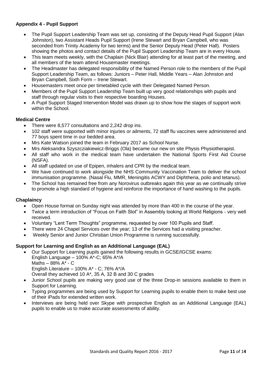# **Appendix 4 - Pupil Support**

- The Pupil Support Leadership Team was set up, consisting of the Deputy Head Pupil Support (Alan Johnston), two Assistant Heads Pupil Support (Irene Stewart and Bryan Campbell, who was seconded from Trinity Academy for two terms) and the Senior Deputy Head (Peter Hall). Posters showing the photos and contact details of the Pupil Support Leadership Team are in every House.
- This team meets weekly, with the Chaplain (Nick Blair) attending for at least part of the meeting, and all members of the team attend Housemaster meetings.
- The Headmaster has delegated responsibility of the Named Person role to the members of the Pupil Support Leadership Team, as follows: Juniors – Peter Hall, Middle Years – Alan Johnston and Bryan Campbell, Sixth Form – Irene Stewart.
- Housemasters meet once per timetabled cycle with their Delegated Named Person.
- Members of the Pupil Support Leadership Team built up very good relationships with pupils and staff through regular visits to their respective boarding Houses.
- A Pupil Support Staged Intervention Model was drawn up to show how the stages of support work within the School.

## **Medical Centre**

- There were 8,577 consultations and 2,242 drop ins.
- 102 staff were supported with minor injuries or ailments, 72 staff flu vaccines were administered and 77 boys spent time in our bedded area.
- Mrs Kate Watson joined the team in February 2017 as School Nurse.
- Mrs Aleksandra Szyszcziakiewicz-Briggs (Ola) became our new on site Physis Physiotherapist.
- All staff who work in the medical team have undertaken the National Sports First Aid Course (NSFA).
- All staff updated on use of Epipen, inhalers and CPR by the medical team.
- We have continued to work alongside the NHS Community Vaccination Team to deliver the school immunisation programme. (Nasal Flu, MMR, Meningitis ACWY and Diphtheria, polio and tetanus).
- The School has remained free from any Norovirus outbreaks again this year as we continually strive to promote a high standard of hygiene and reinforce the importance of hand washing to the pupils.

#### **Chaplaincy**

- Open House format on Sunday night was attended by more than 400 in the course of the year.
- Twice a term introduction of "Focus on Faith Slot" in Assembly looking at World Religions very well received.
- Voluntary "Lent Term Thoughts" programme, requested by over 100 Pupils and Staff.
- There were 24 Chapel Services over the year; 13 of the Services had a visiting preacher.
- Weekly Senior and Junior Christian Union Programme is running successfully.

#### **Support for Learning and English as an Additional Language (EAL)**

- Our Support for Learning pupils gained the following results in GCSE/IGCSE exams: English Language – 100% A\*-C; 65% A\*/A Maths – 88% A\* - C English Literature – 100% A\* - C; 76% A\*/A
	- Overall they achieved 10 A\*, 35 A, 32 B and 30 C grades
- Junior School pupils are making very good use of the three Drop-in sessions available to them in Support for Learning.
- Typing programmes are being used by Support for Learning pupils to enable them to make best use of their iPads for extended written work.
- Interviews are being held over Skype with prospective English as an Additional Language (EAL) pupils to enable us to make accurate assessments of ability.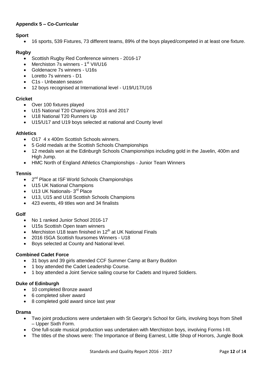# **Appendix 5 – Co-Curricular**

# **Sport**

16 sports, 539 Fixtures, 73 different teams, 89% of the boys played/competed in at least one fixture.

# **Rugby**

- Scottish Rugby Red Conference winners 2016-17
- Merchiston 7s winners 1<sup>st</sup> VII/U16
- Goldenacre 7s winners U16s
- Loretto 7s winners D1
- C1s Unbeaten season
- 12 boys recognised at International level U19/U17/U16

# **Cricket**

- Over 100 fixtures played
- U15 National T20 Champions 2016 and 2017
- U18 National T20 Runners Up
- U15/U17 and U19 boys selected at national and County level

# **Athletics**

- O17 4 x 400m Scottish Schools winners.
- 5 Gold medals at the Scottish Schools Championships
- 12 medals won at the Edinburgh Schools Championships including gold in the Javelin, 400m and High Jump.
- HMC North of England Athletics Championships Junior Team Winners

# **Tennis**

- 2<sup>nd</sup> Place at ISF World Schools Championships
- U15 UK National Champions
- $\bullet$  U13 UK Nationals- 3<sup>rd</sup> Place
- U13, U15 and U18 Scottish Schools Champions
- 423 events, 49 titles won and 34 finalists

# **Golf**

- No 1 ranked Junior School 2016-17
- U15s Scottish Open team winners
- Merchiston U18 team finished in 12<sup>th</sup> at UK National Finals
- 2016 ISGA Scottish foursomes Winners U18
- Boys selected at County and National level.

# **Combined Cadet Force**

- 31 boys and 39 girls attended CCF Summer Camp at Barry Buddon
- 1 boy attended the Cadet Leadership Course.
- 1 boy attended a Joint Service sailing course for Cadets and Injured Soldiers.

# **Duke of Edinburgh**

- 10 completed Bronze award
- 6 completed silver award
- 8 completed gold award since last year

# **Drama**

- Two joint productions were undertaken with St George's School for Girls, involving boys from Shell – Upper Sixth Form.
- One full-scale musical production was undertaken with Merchiston boys, involving Forms I-III.
- The titles of the shows were: The Importance of Being Earnest, Little Shop of Horrors, Jungle Book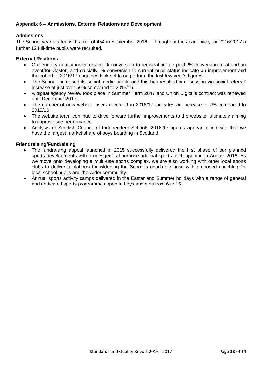# **Appendix 6 – Admissions, External Relations and Development**

### **Admissions**

The School year started with a roll of 454 in September 2016. Throughout the academic year 2016/2017 a further 12 full-time pupils were recruited.

#### **External Relations**

- Our enquiry quality indicators eg % conversion to registration fee paid, % conversion to attend an event/tour/taster, and crucially, % conversion to current pupil status indicate an improvement and the cohort of 2016/17 enquiries look set to outperform the last few year's figures.
- The School increased its social media profile and this has resulted in a 'session via social referral' increase of just over 50% compared to 2015/16.
- A digital agency review took place in Summer Term 2017 and Union Digital's contract was renewed until December 2017.
- The number of new website users recorded in 2016/17 indicates an increase of 7% compared to 2015/16.
- The website team continue to drive forward further improvements to the website, ultimately aiming to improve site performance.
- Analysis of Scottish Council of Independent Schools 2016-17 figures appear to indicate that we have the largest market share of boys boarding in Scotland.

#### **Friendraising/Fundraising**

- The fundraising appeal launched in 2015 successfully delivered the first phase of our planned sports developments with a new general purpose artificial sports pitch opening in August 2016. As we move onto developing a multi-use sports complex, we are also working with other local sports clubs to deliver a platform for widening the School's charitable base with proposed coaching for local school pupils and the wider community.
- Annual sports activity camps delivered in the Easter and Summer holidays with a range of general and dedicated sports programmes open to boys and girls from 6 to 16.